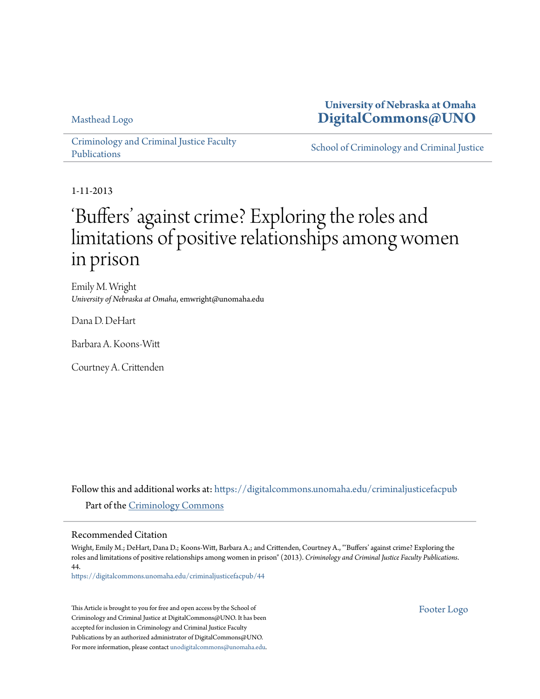[Masthead Logo](http://www.unomaha.edu/?utm_source=digitalcommons.unomaha.edu%2Fcriminaljusticefacpub%2F44&utm_medium=PDF&utm_campaign=PDFCoverPages)

**University of Nebraska at Omaha [DigitalCommons@UNO](https://digitalcommons.unomaha.edu?utm_source=digitalcommons.unomaha.edu%2Fcriminaljusticefacpub%2F44&utm_medium=PDF&utm_campaign=PDFCoverPages)**

[Criminology and Criminal Justice Faculty](https://digitalcommons.unomaha.edu/criminaljusticefacpub?utm_source=digitalcommons.unomaha.edu%2Fcriminaljusticefacpub%2F44&utm_medium=PDF&utm_campaign=PDFCoverPages) [Publications](https://digitalcommons.unomaha.edu/criminaljusticefacpub?utm_source=digitalcommons.unomaha.edu%2Fcriminaljusticefacpub%2F44&utm_medium=PDF&utm_campaign=PDFCoverPages)

[School of Criminology and Criminal Justice](https://digitalcommons.unomaha.edu/criminaljustice?utm_source=digitalcommons.unomaha.edu%2Fcriminaljusticefacpub%2F44&utm_medium=PDF&utm_campaign=PDFCoverPages)

1-11-2013

# 'Buffers' against crime? Exploring the roles and limitations of positive relationships among women in prison

Emily M. Wright *University of Nebraska at Omaha*, emwright@unomaha.edu

Dana D. DeHart

Barbara A. Koons-Witt

Courtney A. Crittenden

Follow this and additional works at: [https://digitalcommons.unomaha.edu/criminaljusticefacpub](https://digitalcommons.unomaha.edu/criminaljusticefacpub?utm_source=digitalcommons.unomaha.edu%2Fcriminaljusticefacpub%2F44&utm_medium=PDF&utm_campaign=PDFCoverPages) Part of the [Criminology Commons](http://network.bepress.com/hgg/discipline/417?utm_source=digitalcommons.unomaha.edu%2Fcriminaljusticefacpub%2F44&utm_medium=PDF&utm_campaign=PDFCoverPages)

#### Recommended Citation

Wright, Emily M.; DeHart, Dana D.; Koons-Witt, Barbara A.; and Crittenden, Courtney A., "'Buffers' against crime? Exploring the roles and limitations of positive relationships among women in prison" (2013). *Criminology and Criminal Justice Faculty Publications*. 44.

[https://digitalcommons.unomaha.edu/criminaljusticefacpub/44](https://digitalcommons.unomaha.edu/criminaljusticefacpub/44?utm_source=digitalcommons.unomaha.edu%2Fcriminaljusticefacpub%2F44&utm_medium=PDF&utm_campaign=PDFCoverPages)

This Article is brought to you for free and open access by the School of Criminology and Criminal Justice at DigitalCommons@UNO. It has been accepted for inclusion in Criminology and Criminal Justice Faculty Publications by an authorized administrator of DigitalCommons@UNO. For more information, please contact [unodigitalcommons@unomaha.edu](mailto:unodigitalcommons@unomaha.edu).

[Footer Logo](http://library.unomaha.edu/?utm_source=digitalcommons.unomaha.edu%2Fcriminaljusticefacpub%2F44&utm_medium=PDF&utm_campaign=PDFCoverPages)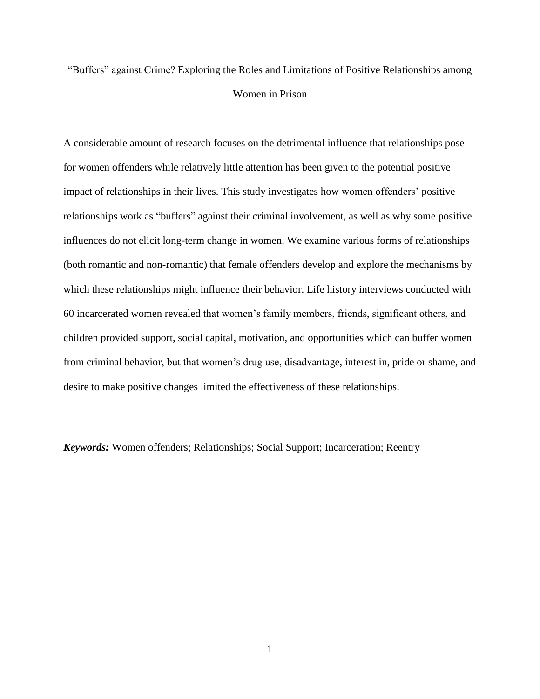## "Buffers" against Crime? Exploring the Roles and Limitations of Positive Relationships among Women in Prison

A considerable amount of research focuses on the detrimental influence that relationships pose for women offenders while relatively little attention has been given to the potential positive impact of relationships in their lives. This study investigates how women offenders' positive relationships work as "buffers" against their criminal involvement, as well as why some positive influences do not elicit long-term change in women. We examine various forms of relationships (both romantic and non-romantic) that female offenders develop and explore the mechanisms by which these relationships might influence their behavior. Life history interviews conducted with 60 incarcerated women revealed that women's family members, friends, significant others, and children provided support, social capital, motivation, and opportunities which can buffer women from criminal behavior, but that women's drug use, disadvantage, interest in, pride or shame, and desire to make positive changes limited the effectiveness of these relationships.

*Keywords:* Women offenders; Relationships; Social Support; Incarceration; Reentry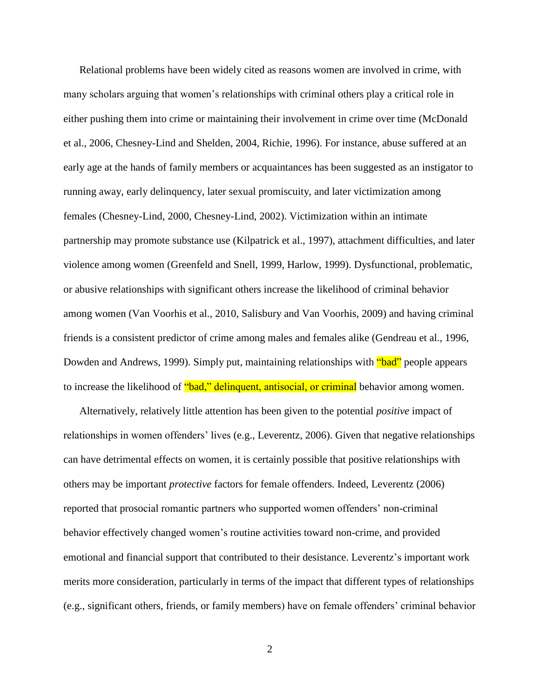Relational problems have been widely cited as reasons women are involved in crime, with many scholars arguing that women's relationships with criminal others play a critical role in either pushing them into crime or maintaining their involvement in crime over time [\(McDonald](#page-31-0)  [et al., 2006,](#page-31-0) [Chesney-Lind and Shelden, 2004,](#page-29-0) [Richie, 1996\)](#page-31-1). For instance, abuse suffered at an early age at the hands of family members or acquaintances has been suggested as an instigator to running away, early delinquency, later sexual promiscuity, and later victimization among females [\(Chesney-Lind, 2000,](#page-29-1) [Chesney-Lind, 2002\)](#page-29-2). Victimization within an intimate partnership may promote substance use [\(Kilpatrick et al., 1997\)](#page-30-0), attachment difficulties, and later violence among women [\(Greenfeld and Snell, 1999,](#page-30-1) [Harlow, 1999\)](#page-30-2). Dysfunctional, problematic, or abusive relationships with significant others increase the likelihood of criminal behavior among women [\(Van Voorhis et al., 2010,](#page-32-0) [Salisbury and Van Voorhis, 2009\)](#page-31-2) and having criminal friends is a consistent predictor of crime among males and females alike [\(Gendreau et al., 1996,](#page-30-3) [Dowden and Andrews, 1999\)](#page-30-4). Simply put, maintaining relationships with "bad" people appears to increase the likelihood of "bad," delinquent, antisocial, or criminal behavior among women.

Alternatively, relatively little attention has been given to the potential *positive* impact of relationships in women offenders' lives [\(e.g., Leverentz, 2006\)](#page-31-3). Given that negative relationships can have detrimental effects on women, it is certainly possible that positive relationships with others may be important *protective* factors for female offenders. Indeed, Leverentz [\(2006\)](#page-31-3) reported that prosocial romantic partners who supported women offenders' non-criminal behavior effectively changed women's routine activities toward non-crime, and provided emotional and financial support that contributed to their desistance. Leverentz's important work merits more consideration, particularly in terms of the impact that different types of relationships (e.g., significant others, friends, or family members) have on female offenders' criminal behavior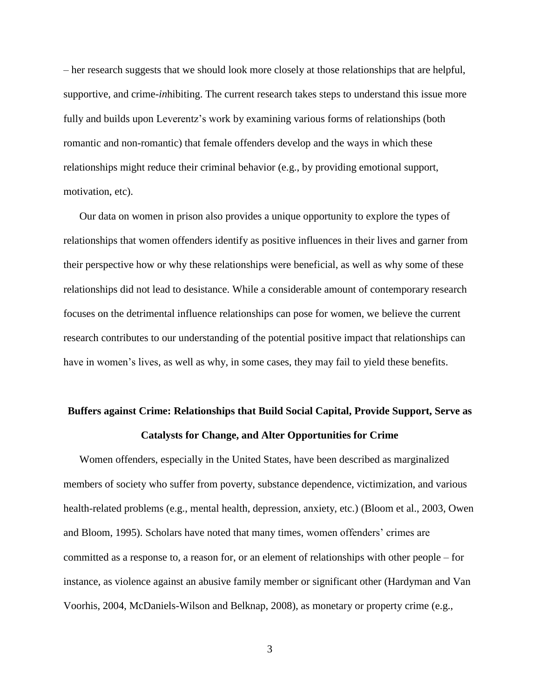– her research suggests that we should look more closely at those relationships that are helpful, supportive, and crime-*in*hibiting. The current research takes steps to understand this issue more fully and builds upon Leverentz's work by examining various forms of relationships (both romantic and non-romantic) that female offenders develop and the ways in which these relationships might reduce their criminal behavior (e.g., by providing emotional support, motivation, etc).

Our data on women in prison also provides a unique opportunity to explore the types of relationships that women offenders identify as positive influences in their lives and garner from their perspective how or why these relationships were beneficial, as well as why some of these relationships did not lead to desistance. While a considerable amount of contemporary research focuses on the detrimental influence relationships can pose for women, we believe the current research contributes to our understanding of the potential positive impact that relationships can have in women's lives, as well as why, in some cases, they may fail to yield these benefits.

### **Buffers against Crime: Relationships that Build Social Capital, Provide Support, Serve as Catalysts for Change, and Alter Opportunities for Crime**

Women offenders, especially in the United States, have been described as marginalized members of society who suffer from poverty, substance dependence, victimization, and various health-related problems (e.g., mental health, depression, anxiety, etc.) [\(Bloom et al., 2003,](#page-29-3) [Owen](#page-31-4)  [and Bloom, 1995\)](#page-31-4). Scholars have noted that many times, women offenders' crimes are committed as a response to, a reason for, or an element of relationships with other people – for instance, as violence against an abusive family member or significant other [\(Hardyman and Van](#page-30-5)  [Voorhis, 2004,](#page-30-5) [McDaniels-Wilson and Belknap, 2008\)](#page-31-5), as monetary or property crime (e.g.,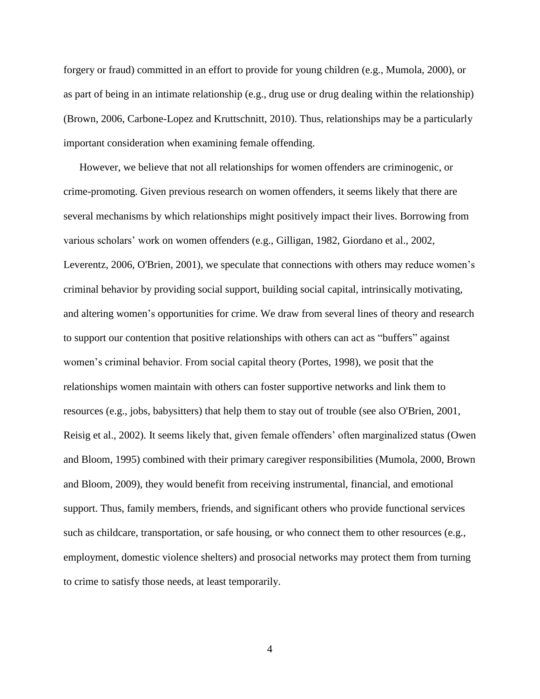forgery or fraud) committed in an effort to provide for young children [\(e.g., Mumola, 2000\)](#page-31-6), or as part of being in an intimate relationship (e.g., drug use or drug dealing within the relationship) [\(Brown, 2006,](#page-29-4) [Carbone-Lopez and Kruttschnitt, 2010\)](#page-29-5). Thus, relationships may be a particularly important consideration when examining female offending.

However, we believe that not all relationships for women offenders are criminogenic, or crime-promoting. Given previous research on women offenders, it seems likely that there are several mechanisms by which relationships might positively impact their lives. Borrowing from various scholars' work on women offenders (e.g., [Gilligan, 1982,](#page-30-6) [Giordano et al., 2002,](#page-30-7) [Leverentz, 2006,](#page-31-3) [O'Brien, 2001\)](#page-31-7), we speculate that connections with others may reduce women's criminal behavior by providing social support, building social capital, intrinsically motivating, and altering women's opportunities for crime. We draw from several lines of theory and research to support our contention that positive relationships with others can act as "buffers" against women's criminal behavior. From social capital theory [\(Portes, 1998\)](#page-31-8), we posit that the relationships women maintain with others can foster supportive networks and link them to resources (e.g., jobs, babysitters) that help them to stay out of trouble (see also [O'Brien, 2001,](#page-31-7) [Reisig et al., 2002\)](#page-31-9). It seems likely that, given female offenders' often marginalized status [\(Owen](#page-31-4)  [and Bloom, 1995\)](#page-31-4) combined with their primary caregiver responsibilities [\(Mumola, 2000,](#page-31-6) [Brown](#page-29-6)  [and Bloom, 2009\)](#page-29-6), they would benefit from receiving instrumental, financial, and emotional support. Thus, family members, friends, and significant others who provide functional services such as childcare, transportation, or safe housing, or who connect them to other resources (e.g., employment, domestic violence shelters) and prosocial networks may protect them from turning to crime to satisfy those needs, at least temporarily.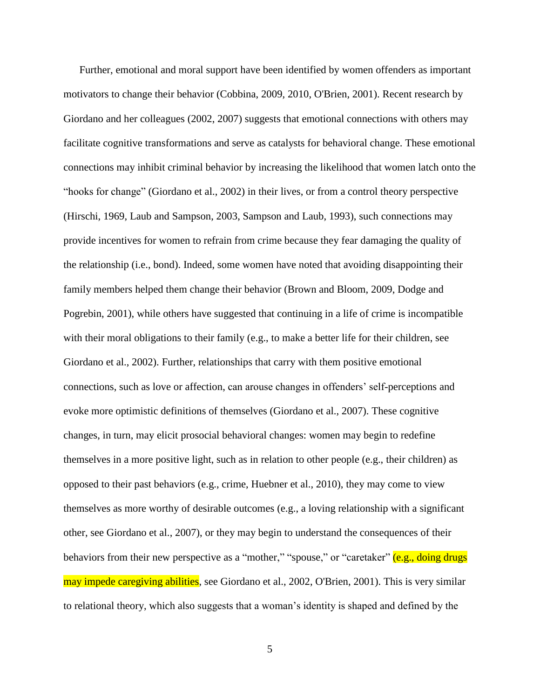Further, emotional and moral support have been identified by women offenders as important motivators to change their behavior [\(Cobbina, 2009,](#page-29-7) [2010,](#page-29-8) [O'Brien, 2001\)](#page-31-7). Recent research by Giordano and her colleagues [\(2002,](#page-30-7) [2007\)](#page-30-8) suggests that emotional connections with others may facilitate cognitive transformations and serve as catalysts for behavioral change. These emotional connections may inhibit criminal behavior by increasing the likelihood that women latch onto the "hooks for change" [\(Giordano et al., 2002\)](#page-30-7) in their lives, or from a control theory perspective [\(Hirschi, 1969,](#page-30-9) [Laub and Sampson, 2003,](#page-30-10) [Sampson and Laub, 1993\)](#page-31-10), such connections may provide incentives for women to refrain from crime because they fear damaging the quality of the relationship (i.e., bond). Indeed, some women have noted that avoiding disappointing their family members helped them change their behavior [\(Brown and Bloom, 2009,](#page-29-6) [Dodge and](#page-29-9)  [Pogrebin, 2001\)](#page-29-9), while others have suggested that continuing in a life of crime is incompatible with their moral obligations to their family [\(e.g., to make a better life for their children, see](#page-30-7)  [Giordano et al., 2002\)](#page-30-7). Further, relationships that carry with them positive emotional connections, such as love or affection, can arouse changes in offenders' self-perceptions and evoke more optimistic definitions of themselves [\(Giordano et al., 2007\)](#page-30-8). These cognitive changes, in turn, may elicit prosocial behavioral changes: women may begin to redefine themselves in a more positive light, such as in relation to other people (e.g., their children) as opposed to their past behaviors [\(e.g., crime, Huebner et al., 2010\)](#page-30-11), they may come to view themselves as more worthy of desirable outcomes [\(e.g., a loving relationship with a significant](#page-30-8)  [other, see Giordano et al., 2007\)](#page-30-8), or they may begin to understand the consequences of their behaviors from their new perspective as a "mother," "spouse," or "caretaker" (e.g., doing drugs may impede caregiving abilities, see [Giordano et al., 2002,](#page-30-7) [O'Brien, 2001\)](#page-31-7). This is very similar to relational theory, which also suggests that a woman's identity is shaped and defined by the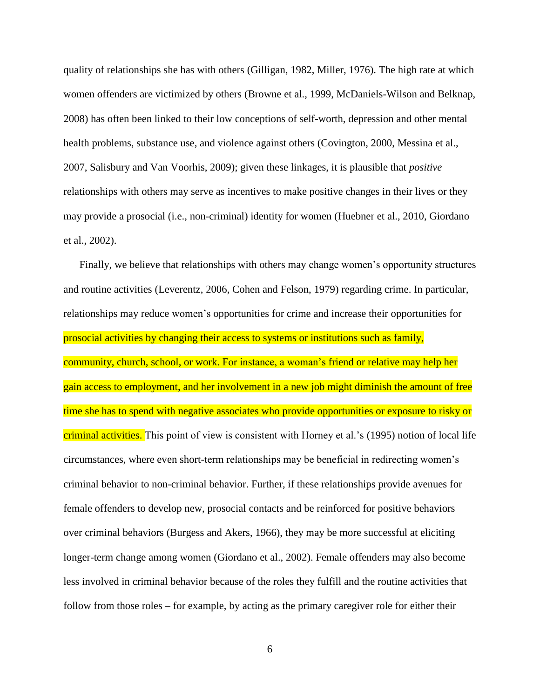quality of relationships she has with others [\(Gilligan, 1982,](#page-30-6) [Miller, 1976\)](#page-31-11). The high rate at which women offenders are victimized by others [\(Browne et al., 1999,](#page-29-10) [McDaniels-Wilson and Belknap,](#page-31-5)  [2008\)](#page-31-5) has often been linked to their low conceptions of self-worth, depression and other mental health problems, substance use, and violence against others [\(Covington, 2000,](#page-29-11) [Messina et al.,](#page-31-12)  [2007,](#page-31-12) [Salisbury and Van Voorhis, 2009\)](#page-31-2); given these linkages, it is plausible that *positive* relationships with others may serve as incentives to make positive changes in their lives or they may provide a prosocial (i.e., non-criminal) identity for women [\(Huebner et al., 2010,](#page-30-11) [Giordano](#page-30-7)  [et al., 2002\)](#page-30-7).

Finally, we believe that relationships with others may change women's opportunity structures and routine activities [\(Leverentz, 2006,](#page-31-3) [Cohen and Felson, 1979\)](#page-29-12) regarding crime. In particular, relationships may reduce women's opportunities for crime and increase their opportunities for prosocial activities by changing their access to systems or institutions such as family, community, church, school, or work. For instance, a woman's friend or relative may help her gain access to employment, and her involvement in a new job might diminish the amount of free time she has to spend with negative associates who provide opportunities or exposure to risky or criminal activities. This point of view is consistent with Horney et al.'s [\(1995\)](#page-30-12) notion of local life circumstances, where even short-term relationships may be beneficial in redirecting women's criminal behavior to non-criminal behavior. Further, if these relationships provide avenues for female offenders to develop new, prosocial contacts and be reinforced for positive behaviors over criminal behaviors [\(Burgess and Akers, 1966\)](#page-29-13), they may be more successful at eliciting longer-term change among women [\(Giordano et al., 2002\)](#page-30-7). Female offenders may also become less involved in criminal behavior because of the roles they fulfill and the routine activities that follow from those roles – for example, by acting as the primary caregiver role for either their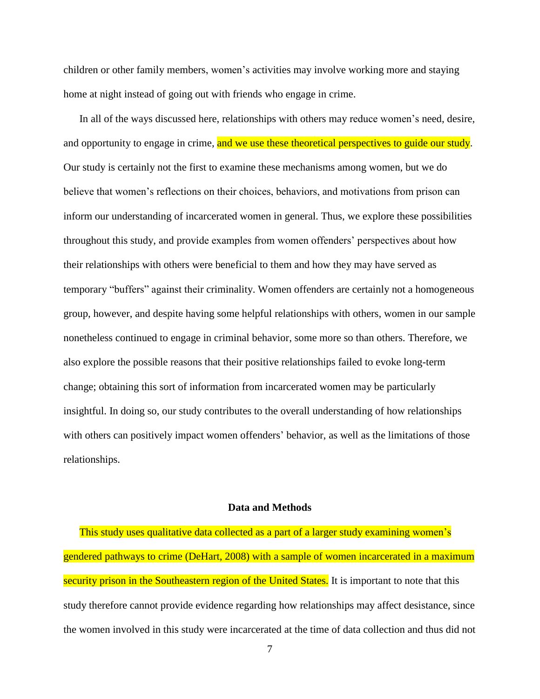children or other family members, women's activities may involve working more and staying home at night instead of going out with friends who engage in crime.

In all of the ways discussed here, relationships with others may reduce women's need, desire, and opportunity to engage in crime, and we use these theoretical perspectives to guide our study. Our study is certainly not the first to examine these mechanisms among women, but we do believe that women's reflections on their choices, behaviors, and motivations from prison can inform our understanding of incarcerated women in general. Thus, we explore these possibilities throughout this study, and provide examples from women offenders' perspectives about how their relationships with others were beneficial to them and how they may have served as temporary "buffers" against their criminality. Women offenders are certainly not a homogeneous group, however, and despite having some helpful relationships with others, women in our sample nonetheless continued to engage in criminal behavior, some more so than others. Therefore, we also explore the possible reasons that their positive relationships failed to evoke long-term change; obtaining this sort of information from incarcerated women may be particularly insightful. In doing so, our study contributes to the overall understanding of how relationships with others can positively impact women offenders' behavior, as well as the limitations of those relationships.

#### **Data and Methods**

This study uses qualitative data collected as a part of a larger study examining women's gendered pathways to crime (DeHart, 2008) with a sample of women incarcerated in a maximum security prison in the Southeastern region of the United States. It is important to note that this study therefore cannot provide evidence regarding how relationships may affect desistance, since the women involved in this study were incarcerated at the time of data collection and thus did not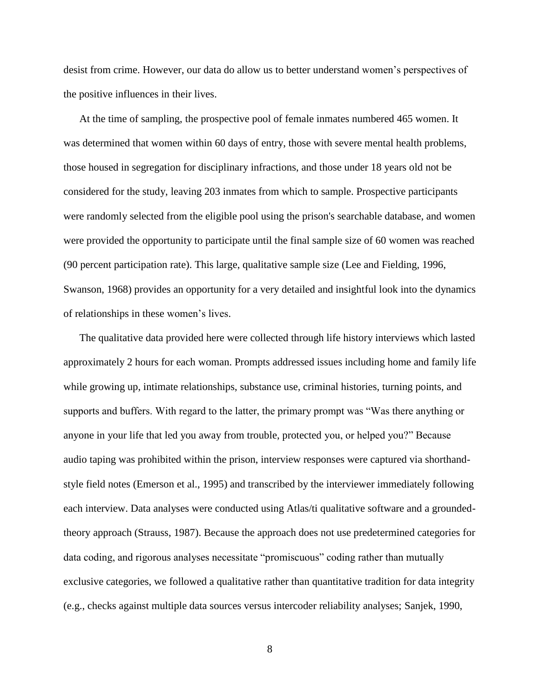desist from crime. However, our data do allow us to better understand women's perspectives of the positive influences in their lives.

At the time of sampling, the prospective pool of female inmates numbered 465 women. It was determined that women within 60 days of entry, those with severe mental health problems, those housed in segregation for disciplinary infractions, and those under 18 years old not be considered for the study, leaving 203 inmates from which to sample. Prospective participants were randomly selected from the eligible pool using the prison's searchable database, and women were provided the opportunity to participate until the final sample size of 60 women was reached (90 percent participation rate). This large, qualitative sample size [\(Lee and Fielding, 1996,](#page-30-13) [Swanson, 1968\)](#page-31-13) provides an opportunity for a very detailed and insightful look into the dynamics of relationships in these women's lives.

The qualitative data provided here were collected through life history interviews which lasted approximately 2 hours for each woman. Prompts addressed issues including home and family life while growing up, intimate relationships, substance use, criminal histories, turning points, and supports and buffers. With regard to the latter, the primary prompt was "Was there anything or anyone in your life that led you away from trouble, protected you, or helped you?" Because audio taping was prohibited within the prison, interview responses were captured via shorthandstyle field notes [\(Emerson et al., 1995\)](#page-30-14) and transcribed by the interviewer immediately following each interview. Data analyses were conducted using Atlas/ti qualitative software and a groundedtheory approach [\(Strauss, 1987\)](#page-31-14). Because the approach does not use predetermined categories for data coding, and rigorous analyses necessitate "promiscuous" coding rather than mutually exclusive categories, we followed a qualitative rather than quantitative tradition for data integrity (e.g., checks against multiple data sources versus intercoder reliability analyses; [Sanjek, 1990,](#page-31-15)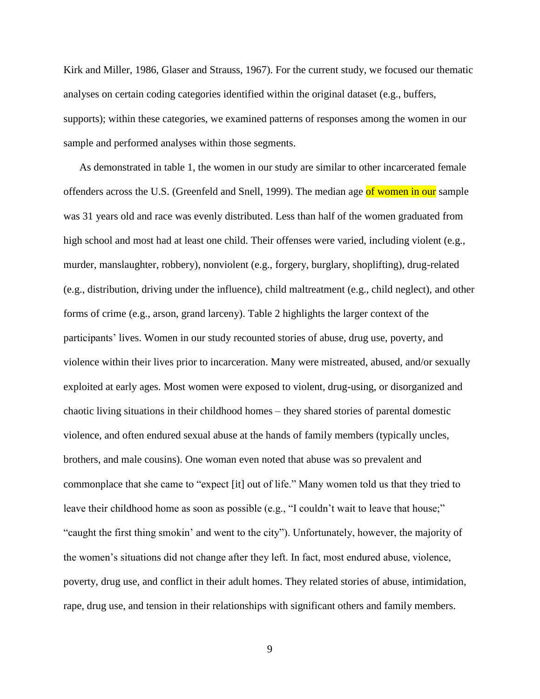[Kirk and Miller, 1986,](#page-30-15) [Glaser and Strauss, 1967\)](#page-30-16). For the current study, we focused our thematic analyses on certain coding categories identified within the original dataset (e.g., buffers, supports); within these categories, we examined patterns of responses among the women in our sample and performed analyses within those segments.

As demonstrated in table 1, the women in our study are similar to other incarcerated female offenders across the U.S. [\(Greenfeld and Snell, 1999\)](#page-30-1). The median age of women in our sample was 31 years old and race was evenly distributed. Less than half of the women graduated from high school and most had at least one child. Their offenses were varied, including violent (e.g., murder, manslaughter, robbery), nonviolent (e.g., forgery, burglary, shoplifting), drug-related (e.g., distribution, driving under the influence), child maltreatment (e.g., child neglect), and other forms of crime (e.g., arson, grand larceny). Table 2 highlights the larger context of the participants' lives. Women in our study recounted stories of abuse, drug use, poverty, and violence within their lives prior to incarceration. Many were mistreated, abused, and/or sexually exploited at early ages. Most women were exposed to violent, drug-using, or disorganized and chaotic living situations in their childhood homes – they shared stories of parental domestic violence, and often endured sexual abuse at the hands of family members (typically uncles, brothers, and male cousins). One woman even noted that abuse was so prevalent and commonplace that she came to "expect [it] out of life." Many women told us that they tried to leave their childhood home as soon as possible (e.g., "I couldn't wait to leave that house;" "caught the first thing smokin' and went to the city"). Unfortunately, however, the majority of the women's situations did not change after they left. In fact, most endured abuse, violence, poverty, drug use, and conflict in their adult homes. They related stories of abuse, intimidation, rape, drug use, and tension in their relationships with significant others and family members.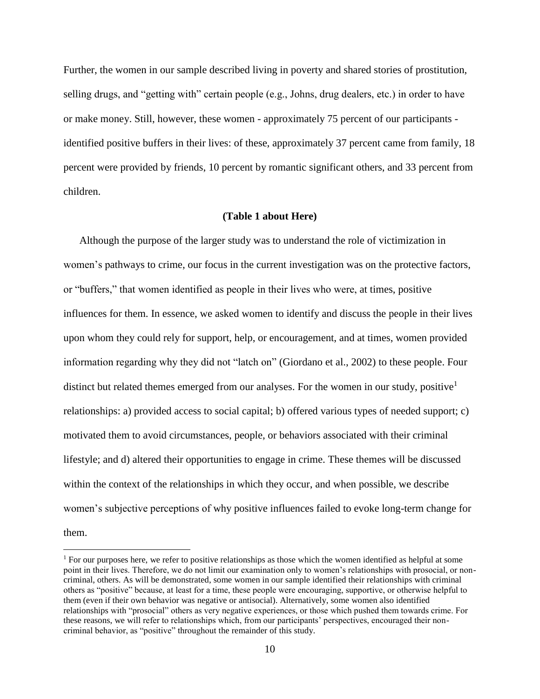Further, the women in our sample described living in poverty and shared stories of prostitution, selling drugs, and "getting with" certain people (e.g., Johns, drug dealers, etc.) in order to have or make money. Still, however, these women - approximately 75 percent of our participants identified positive buffers in their lives: of these, approximately 37 percent came from family, 18 percent were provided by friends, 10 percent by romantic significant others, and 33 percent from children.

#### **(Table 1 about Here)**

Although the purpose of the larger study was to understand the role of victimization in women's pathways to crime, our focus in the current investigation was on the protective factors, or "buffers," that women identified as people in their lives who were, at times, positive influences for them. In essence, we asked women to identify and discuss the people in their lives upon whom they could rely for support, help, or encouragement, and at times, women provided information regarding why they did not "latch on" [\(Giordano et al., 2002\)](#page-30-7) to these people. Four distinct but related themes emerged from our analyses. For the women in our study, positive<sup>1</sup> relationships: a) provided access to social capital; b) offered various types of needed support; c) motivated them to avoid circumstances, people, or behaviors associated with their criminal lifestyle; and d) altered their opportunities to engage in crime. These themes will be discussed within the context of the relationships in which they occur, and when possible, we describe women's subjective perceptions of why positive influences failed to evoke long-term change for them.

 $\overline{a}$ 

<sup>&</sup>lt;sup>1</sup> For our purposes here, we refer to positive relationships as those which the women identified as helpful at some point in their lives. Therefore, we do not limit our examination only to women's relationships with prosocial, or noncriminal, others. As will be demonstrated, some women in our sample identified their relationships with criminal others as "positive" because, at least for a time, these people were encouraging, supportive, or otherwise helpful to them (even if their own behavior was negative or antisocial). Alternatively, some women also identified relationships with "prosocial" others as very negative experiences, or those which pushed them towards crime. For these reasons, we will refer to relationships which, from our participants' perspectives, encouraged their noncriminal behavior, as "positive" throughout the remainder of this study.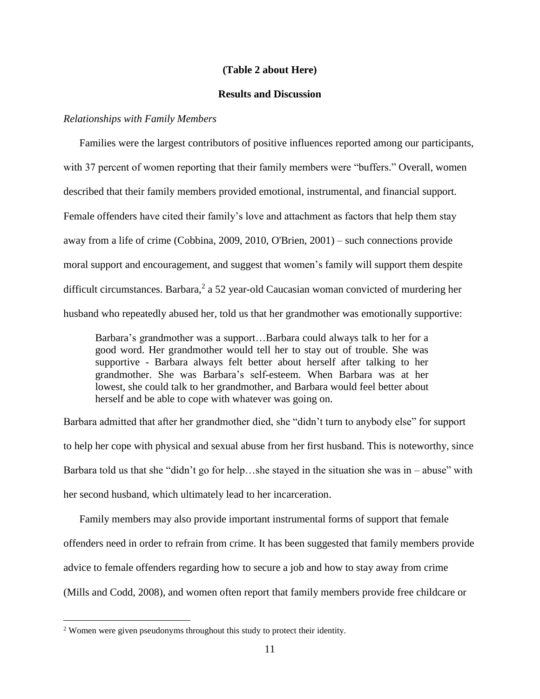#### **(Table 2 about Here)**

#### **Results and Discussion**

#### *Relationships with Family Members*

Families were the largest contributors of positive influences reported among our participants, with 37 percent of women reporting that their family members were "buffers." Overall, women described that their family members provided emotional, instrumental, and financial support. Female offenders have cited their family's love and attachment as factors that help them stay away from a life of crime [\(Cobbina, 2009,](#page-29-7) [2010,](#page-29-8) [O'Brien, 2001\)](#page-31-7) – such connections provide moral support and encouragement, and suggest that women's family will support them despite difficult circumstances. Barbara,<sup>2</sup> a 52 year-old Caucasian woman convicted of murdering her husband who repeatedly abused her, told us that her grandmother was emotionally supportive:

Barbara's grandmother was a support…Barbara could always talk to her for a good word. Her grandmother would tell her to stay out of trouble. She was supportive - Barbara always felt better about herself after talking to her grandmother. She was Barbara's self-esteem. When Barbara was at her lowest, she could talk to her grandmother, and Barbara would feel better about herself and be able to cope with whatever was going on.

Barbara admitted that after her grandmother died, she "didn't turn to anybody else" for support to help her cope with physical and sexual abuse from her first husband. This is noteworthy, since Barbara told us that she "didn't go for help...she stayed in the situation she was in – abuse" with her second husband, which ultimately lead to her incarceration.

Family members may also provide important instrumental forms of support that female offenders need in order to refrain from crime. It has been suggested that family members provide advice to female offenders regarding how to secure a job and how to stay away from crime [\(Mills and Codd, 2008\)](#page-31-16), and women often report that family members provide free childcare or

 $\overline{a}$ 

<sup>2</sup> Women were given pseudonyms throughout this study to protect their identity.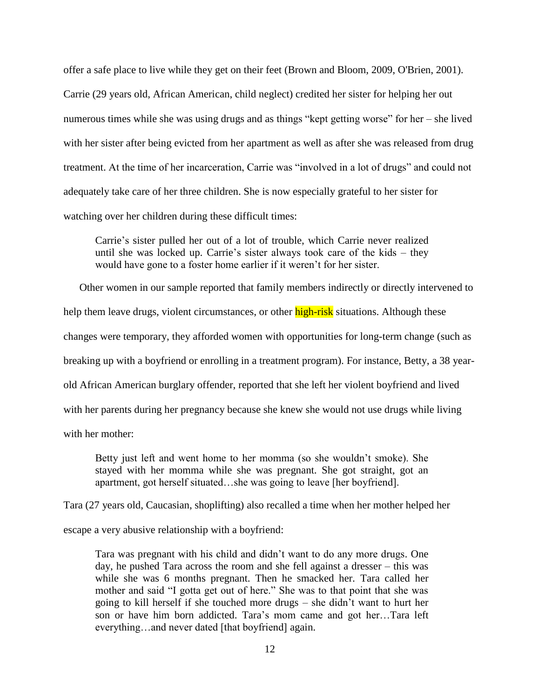offer a safe place to live while they get on their feet [\(Brown and Bloom, 2009,](#page-29-6) [O'Brien, 2001\)](#page-31-7). Carrie (29 years old, African American, child neglect) credited her sister for helping her out numerous times while she was using drugs and as things "kept getting worse" for her – she lived with her sister after being evicted from her apartment as well as after she was released from drug treatment. At the time of her incarceration, Carrie was "involved in a lot of drugs" and could not adequately take care of her three children. She is now especially grateful to her sister for watching over her children during these difficult times:

Carrie's sister pulled her out of a lot of trouble, which Carrie never realized until she was locked up. Carrie's sister always took care of the kids – they would have gone to a foster home earlier if it weren't for her sister.

Other women in our sample reported that family members indirectly or directly intervened to help them leave drugs, violent circumstances, or other **high-risk** situations. Although these changes were temporary, they afforded women with opportunities for long-term change (such as breaking up with a boyfriend or enrolling in a treatment program). For instance, Betty, a 38 yearold African American burglary offender, reported that she left her violent boyfriend and lived with her parents during her pregnancy because she knew she would not use drugs while living with her mother:

Betty just left and went home to her momma (so she wouldn't smoke). She stayed with her momma while she was pregnant. She got straight, got an apartment, got herself situated…she was going to leave [her boyfriend].

Tara (27 years old, Caucasian, shoplifting) also recalled a time when her mother helped her

escape a very abusive relationship with a boyfriend:

Tara was pregnant with his child and didn't want to do any more drugs. One day, he pushed Tara across the room and she fell against a dresser – this was while she was 6 months pregnant. Then he smacked her. Tara called her mother and said "I gotta get out of here." She was to that point that she was going to kill herself if she touched more drugs – she didn't want to hurt her son or have him born addicted. Tara's mom came and got her…Tara left everything…and never dated [that boyfriend] again.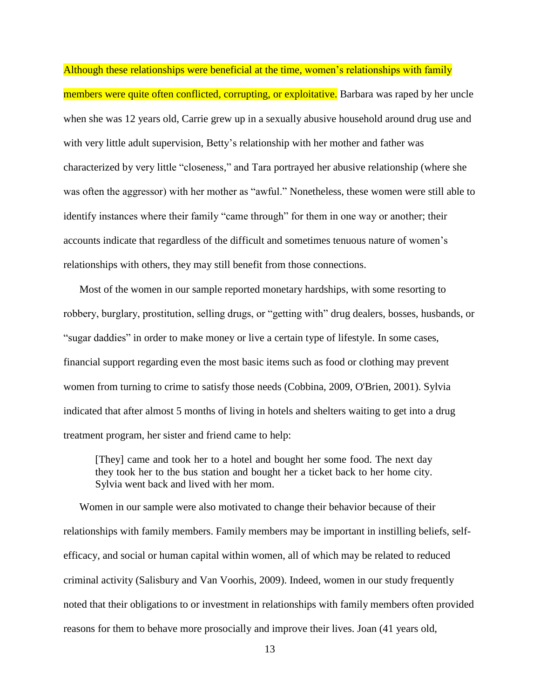Although these relationships were beneficial at the time, women's relationships with family members were quite often conflicted, corrupting, or exploitative. Barbara was raped by her uncle when she was 12 years old, Carrie grew up in a sexually abusive household around drug use and with very little adult supervision, Betty's relationship with her mother and father was characterized by very little "closeness," and Tara portrayed her abusive relationship (where she was often the aggressor) with her mother as "awful." Nonetheless, these women were still able to identify instances where their family "came through" for them in one way or another; their accounts indicate that regardless of the difficult and sometimes tenuous nature of women's relationships with others, they may still benefit from those connections.

Most of the women in our sample reported monetary hardships, with some resorting to robbery, burglary, prostitution, selling drugs, or "getting with" drug dealers, bosses, husbands, or "sugar daddies" in order to make money or live a certain type of lifestyle. In some cases, financial support regarding even the most basic items such as food or clothing may prevent women from turning to crime to satisfy those needs [\(Cobbina, 2009,](#page-29-7) [O'Brien, 2001\)](#page-31-7). Sylvia indicated that after almost 5 months of living in hotels and shelters waiting to get into a drug treatment program, her sister and friend came to help:

[They] came and took her to a hotel and bought her some food. The next day they took her to the bus station and bought her a ticket back to her home city. Sylvia went back and lived with her mom.

Women in our sample were also motivated to change their behavior because of their relationships with family members. Family members may be important in instilling beliefs, selfefficacy, and social or human capital within women, all of which may be related to reduced criminal activity [\(Salisbury and Van Voorhis, 2009\)](#page-31-2). Indeed, women in our study frequently noted that their obligations to or investment in relationships with family members often provided reasons for them to behave more prosocially and improve their lives. Joan (41 years old,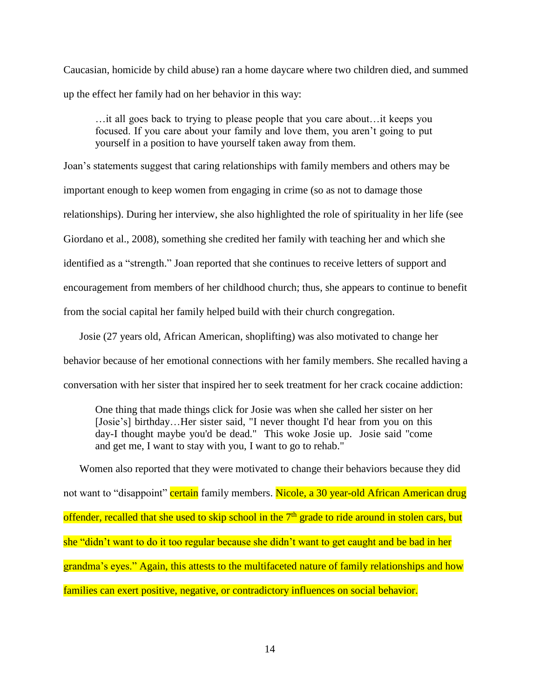Caucasian, homicide by child abuse) ran a home daycare where two children died, and summed up the effect her family had on her behavior in this way:

…it all goes back to trying to please people that you care about…it keeps you focused. If you care about your family and love them, you aren't going to put yourself in a position to have yourself taken away from them.

Joan's statements suggest that caring relationships with family members and others may be important enough to keep women from engaging in crime (so as not to damage those relationships). During her interview, she also highlighted the role of spirituality in her life [\(see](#page-30-17)  [Giordano et al., 2008\)](#page-30-17), something she credited her family with teaching her and which she identified as a "strength." Joan reported that she continues to receive letters of support and encouragement from members of her childhood church; thus, she appears to continue to benefit from the social capital her family helped build with their church congregation.

Josie (27 years old, African American, shoplifting) was also motivated to change her behavior because of her emotional connections with her family members. She recalled having a conversation with her sister that inspired her to seek treatment for her crack cocaine addiction:

One thing that made things click for Josie was when she called her sister on her [Josie's] birthday...Her sister said, "I never thought I'd hear from you on this day-I thought maybe you'd be dead." This woke Josie up. Josie said "come and get me, I want to stay with you, I want to go to rehab."

Women also reported that they were motivated to change their behaviors because they did not want to "disappoint" certain family members. Nicole, a 30 year-old African American drug offender, recalled that she used to skip school in the 7<sup>th</sup> grade to ride around in stolen cars, but she "didn't want to do it too regular because she didn't want to get caught and be bad in her grandma's eyes." Again, this attests to the multifaceted nature of family relationships and how families can exert positive, negative, or contradictory influences on social behavior.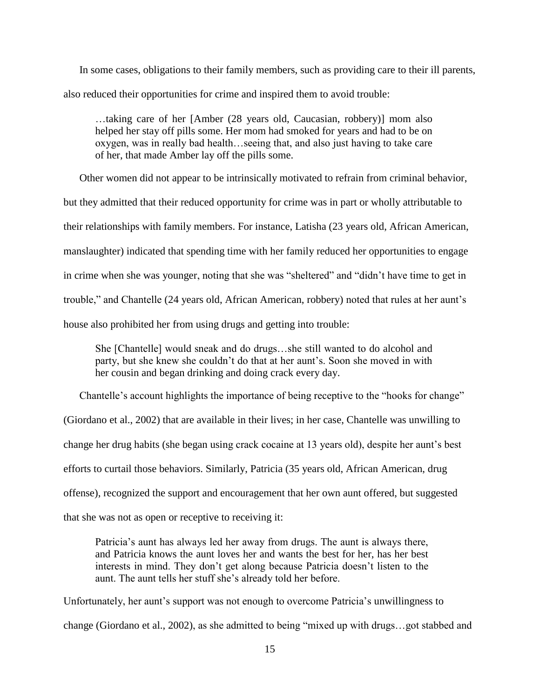In some cases, obligations to their family members, such as providing care to their ill parents, also reduced their opportunities for crime and inspired them to avoid trouble:

…taking care of her [Amber (28 years old, Caucasian, robbery)] mom also helped her stay off pills some. Her mom had smoked for years and had to be on oxygen, was in really bad health…seeing that, and also just having to take care of her, that made Amber lay off the pills some.

Other women did not appear to be intrinsically motivated to refrain from criminal behavior, but they admitted that their reduced opportunity for crime was in part or wholly attributable to their relationships with family members. For instance, Latisha (23 years old, African American, manslaughter) indicated that spending time with her family reduced her opportunities to engage in crime when she was younger, noting that she was "sheltered" and "didn't have time to get in trouble," and Chantelle (24 years old, African American, robbery) noted that rules at her aunt's house also prohibited her from using drugs and getting into trouble:

She [Chantelle] would sneak and do drugs…she still wanted to do alcohol and party, but she knew she couldn't do that at her aunt's. Soon she moved in with her cousin and began drinking and doing crack every day.

Chantelle's account highlights the importance of being receptive to the "hooks for change" [\(Giordano et al., 2002\)](#page-30-7) that are available in their lives; in her case, Chantelle was unwilling to change her drug habits (she began using crack cocaine at 13 years old), despite her aunt's best efforts to curtail those behaviors. Similarly, Patricia (35 years old, African American, drug offense), recognized the support and encouragement that her own aunt offered, but suggested that she was not as open or receptive to receiving it:

Patricia's aunt has always led her away from drugs. The aunt is always there, and Patricia knows the aunt loves her and wants the best for her, has her best interests in mind. They don't get along because Patricia doesn't listen to the aunt. The aunt tells her stuff she's already told her before.

Unfortunately, her aunt's support was not enough to overcome Patricia's unwillingness to change [\(Giordano et al., 2002\)](#page-30-7), as she admitted to being "mixed up with drugs…got stabbed and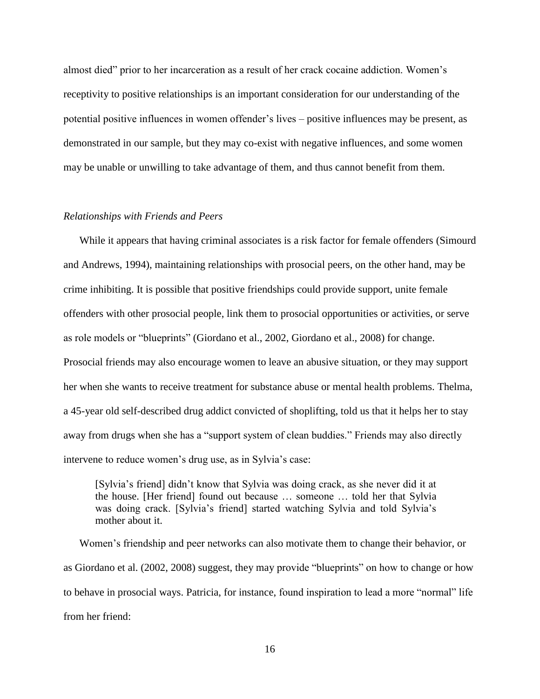almost died" prior to her incarceration as a result of her crack cocaine addiction. Women's receptivity to positive relationships is an important consideration for our understanding of the potential positive influences in women offender's lives – positive influences may be present, as demonstrated in our sample, but they may co-exist with negative influences, and some women may be unable or unwilling to take advantage of them, and thus cannot benefit from them.

#### *Relationships with Friends and Peers*

While it appears that having criminal associates is a risk factor for female offenders [\(Simourd](#page-31-17)  [and Andrews, 1994\)](#page-31-17), maintaining relationships with prosocial peers, on the other hand, may be crime inhibiting. It is possible that positive friendships could provide support, unite female offenders with other prosocial people, link them to prosocial opportunities or activities, or serve as role models or "blueprints" [\(Giordano et al., 2002,](#page-30-7) [Giordano et al., 2008\)](#page-30-17) for change. Prosocial friends may also encourage women to leave an abusive situation, or they may support her when she wants to receive treatment for substance abuse or mental health problems. Thelma, a 45-year old self-described drug addict convicted of shoplifting, told us that it helps her to stay away from drugs when she has a "support system of clean buddies." Friends may also directly intervene to reduce women's drug use, as in Sylvia's case:

[Sylvia's friend] didn't know that Sylvia was doing crack, as she never did it at the house. [Her friend] found out because … someone … told her that Sylvia was doing crack. [Sylvia's friend] started watching Sylvia and told Sylvia's mother about it.

Women's friendship and peer networks can also motivate them to change their behavior, or as Giordano et al. [\(2002,](#page-30-7) [2008\)](#page-30-17) suggest, they may provide "blueprints" on how to change or how to behave in prosocial ways. Patricia, for instance, found inspiration to lead a more "normal" life from her friend: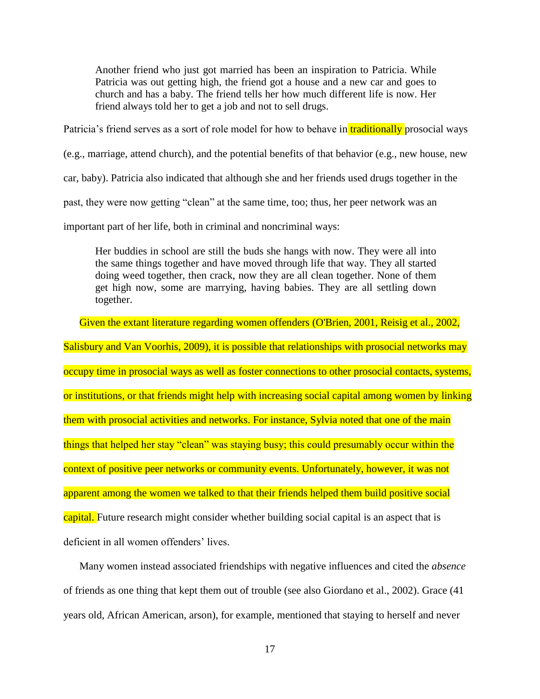Another friend who just got married has been an inspiration to Patricia. While Patricia was out getting high, the friend got a house and a new car and goes to church and has a baby. The friend tells her how much different life is now. Her friend always told her to get a job and not to sell drugs.

Patricia's friend serves as a sort of role model for how to behave in **traditionally** prosocial ways

(e.g., marriage, attend church), and the potential benefits of that behavior (e.g., new house, new

car, baby). Patricia also indicated that although she and her friends used drugs together in the

past, they were now getting "clean" at the same time, too; thus, her peer network was an

important part of her life, both in criminal and noncriminal ways:

Her buddies in school are still the buds she hangs with now. They were all into the same things together and have moved through life that way. They all started doing weed together, then crack, now they are all clean together. None of them get high now, some are marrying, having babies. They are all settling down together.

Given the extant literature regarding women offenders [\(O'Brien, 2001,](#page-31-7) [Reisig et al., 2002,](#page-31-9)

[Salisbury and Van Voorhis, 2009\)](#page-31-2), it is possible that relationships with prosocial networks may occupy time in prosocial ways as well as foster connections to other prosocial contacts, systems, or institutions, or that friends might help with increasing social capital among women by linking them with prosocial activities and networks. For instance, Sylvia noted that one of the main things that helped her stay "clean" was staying busy; this could presumably occur within the context of positive peer networks or community events. Unfortunately, however, it was not apparent among the women we talked to that their friends helped them build positive social capital. Future research might consider whether building social capital is an aspect that is deficient in all women offenders' lives.

Many women instead associated friendships with negative influences and cited the *absence* of friends as one thing that kept them out of trouble [\(see also Giordano et al., 2002\)](#page-30-7). Grace (41 years old, African American, arson), for example, mentioned that staying to herself and never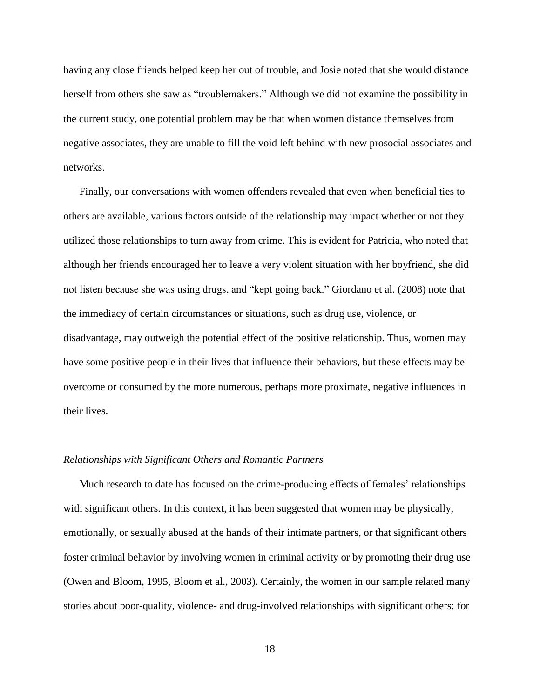having any close friends helped keep her out of trouble, and Josie noted that she would distance herself from others she saw as "troublemakers." Although we did not examine the possibility in the current study, one potential problem may be that when women distance themselves from negative associates, they are unable to fill the void left behind with new prosocial associates and networks.

Finally, our conversations with women offenders revealed that even when beneficial ties to others are available, various factors outside of the relationship may impact whether or not they utilized those relationships to turn away from crime. This is evident for Patricia, who noted that although her friends encouraged her to leave a very violent situation with her boyfriend, she did not listen because she was using drugs, and "kept going back." Giordano et al. [\(2008\)](#page-30-17) note that the immediacy of certain circumstances or situations, such as drug use, violence, or disadvantage, may outweigh the potential effect of the positive relationship. Thus, women may have some positive people in their lives that influence their behaviors, but these effects may be overcome or consumed by the more numerous, perhaps more proximate, negative influences in their lives.

#### *Relationships with Significant Others and Romantic Partners*

Much research to date has focused on the crime-producing effects of females' relationships with significant others. In this context, it has been suggested that women may be physically, emotionally, or sexually abused at the hands of their intimate partners, or that significant others foster criminal behavior by involving women in criminal activity or by promoting their drug use [\(Owen and Bloom, 1995,](#page-31-4) [Bloom et al., 2003\)](#page-29-3). Certainly, the women in our sample related many stories about poor-quality, violence- and drug-involved relationships with significant others: for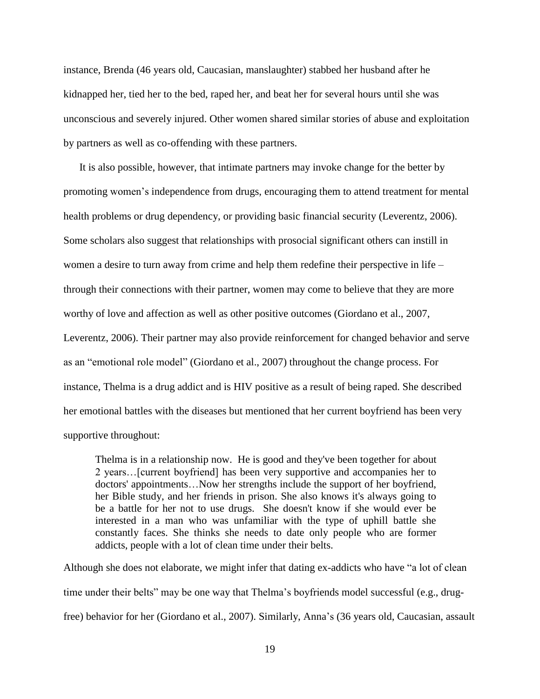instance, Brenda (46 years old, Caucasian, manslaughter) stabbed her husband after he kidnapped her, tied her to the bed, raped her, and beat her for several hours until she was unconscious and severely injured. Other women shared similar stories of abuse and exploitation by partners as well as co-offending with these partners.

It is also possible, however, that intimate partners may invoke change for the better by promoting women's independence from drugs, encouraging them to attend treatment for mental health problems or drug dependency, or providing basic financial security [\(Leverentz, 2006\)](#page-31-3). Some scholars also suggest that relationships with prosocial significant others can instill in women a desire to turn away from crime and help them redefine their perspective in life – through their connections with their partner, women may come to believe that they are more worthy of love and affection as well as other positive outcomes [\(Giordano et al., 2007,](#page-30-8) [Leverentz, 2006\)](#page-31-3). Their partner may also provide reinforcement for changed behavior and serve as an "emotional role model" [\(Giordano et al., 2007\)](#page-30-8) throughout the change process. For instance, Thelma is a drug addict and is HIV positive as a result of being raped. She described her emotional battles with the diseases but mentioned that her current boyfriend has been very supportive throughout:

Thelma is in a relationship now. He is good and they've been together for about 2 years…[current boyfriend] has been very supportive and accompanies her to doctors' appointments…Now her strengths include the support of her boyfriend, her Bible study, and her friends in prison. She also knows it's always going to be a battle for her not to use drugs. She doesn't know if she would ever be interested in a man who was unfamiliar with the type of uphill battle she constantly faces. She thinks she needs to date only people who are former addicts, people with a lot of clean time under their belts.

Although she does not elaborate, we might infer that dating ex-addicts who have "a lot of clean time under their belts" may be one way that Thelma's boyfriends model successful (e.g., drugfree) behavior for her [\(Giordano et al., 2007\)](#page-30-8). Similarly, Anna's (36 years old, Caucasian, assault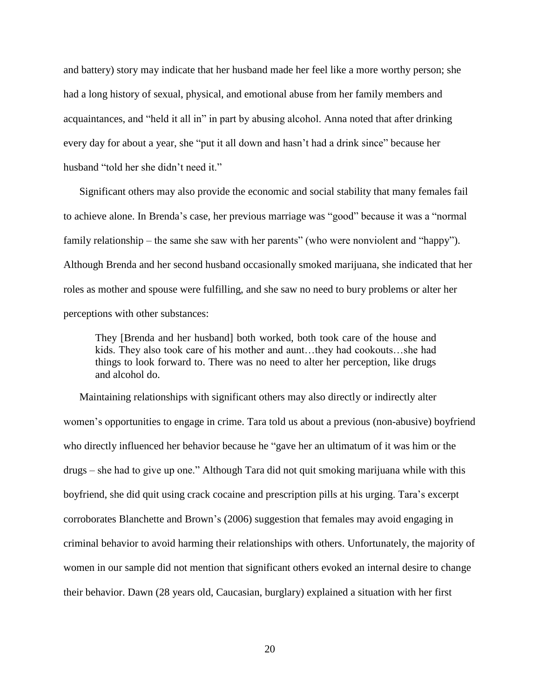and battery) story may indicate that her husband made her feel like a more worthy person; she had a long history of sexual, physical, and emotional abuse from her family members and acquaintances, and "held it all in" in part by abusing alcohol. Anna noted that after drinking every day for about a year, she "put it all down and hasn't had a drink since" because her husband "told her she didn't need it."

Significant others may also provide the economic and social stability that many females fail to achieve alone. In Brenda's case, her previous marriage was "good" because it was a "normal family relationship – the same she saw with her parents" (who were nonviolent and "happy"). Although Brenda and her second husband occasionally smoked marijuana, she indicated that her roles as mother and spouse were fulfilling, and she saw no need to bury problems or alter her perceptions with other substances:

They [Brenda and her husband] both worked, both took care of the house and kids. They also took care of his mother and aunt…they had cookouts…she had things to look forward to. There was no need to alter her perception, like drugs and alcohol do.

Maintaining relationships with significant others may also directly or indirectly alter women's opportunities to engage in crime. Tara told us about a previous (non-abusive) boyfriend who directly influenced her behavior because he "gave her an ultimatum of it was him or the drugs – she had to give up one." Although Tara did not quit smoking marijuana while with this boyfriend, she did quit using crack cocaine and prescription pills at his urging. Tara's excerpt corroborates Blanchette and Brown's [\(2006\)](#page-29-14) suggestion that females may avoid engaging in criminal behavior to avoid harming their relationships with others. Unfortunately, the majority of women in our sample did not mention that significant others evoked an internal desire to change their behavior. Dawn (28 years old, Caucasian, burglary) explained a situation with her first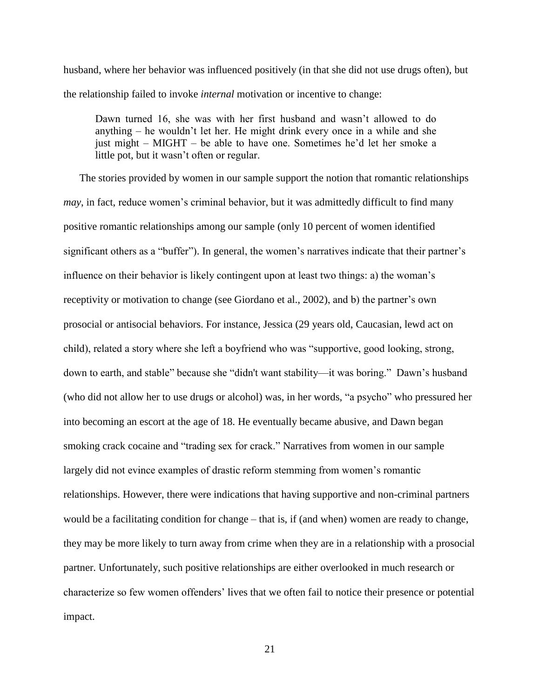husband, where her behavior was influenced positively (in that she did not use drugs often), but the relationship failed to invoke *internal* motivation or incentive to change:

Dawn turned 16, she was with her first husband and wasn't allowed to do anything – he wouldn't let her. He might drink every once in a while and she just might – MIGHT – be able to have one. Sometimes he'd let her smoke a little pot, but it wasn't often or regular.

The stories provided by women in our sample support the notion that romantic relationships *may*, in fact, reduce women's criminal behavior, but it was admittedly difficult to find many positive romantic relationships among our sample (only 10 percent of women identified significant others as a "buffer"). In general, the women's narratives indicate that their partner's influence on their behavior is likely contingent upon at least two things: a) the woman's receptivity or motivation to change [\(see Giordano et al., 2002\)](#page-30-7), and b) the partner's own prosocial or antisocial behaviors. For instance, Jessica (29 years old, Caucasian, lewd act on child), related a story where she left a boyfriend who was "supportive, good looking, strong, down to earth, and stable" because she "didn't want stability—it was boring." Dawn's husband (who did not allow her to use drugs or alcohol) was, in her words, "a psycho" who pressured her into becoming an escort at the age of 18. He eventually became abusive, and Dawn began smoking crack cocaine and "trading sex for crack." Narratives from women in our sample largely did not evince examples of drastic reform stemming from women's romantic relationships. However, there were indications that having supportive and non-criminal partners would be a facilitating condition for change – that is, if (and when) women are ready to change, they may be more likely to turn away from crime when they are in a relationship with a prosocial partner. Unfortunately, such positive relationships are either overlooked in much research or characterize so few women offenders' lives that we often fail to notice their presence or potential impact.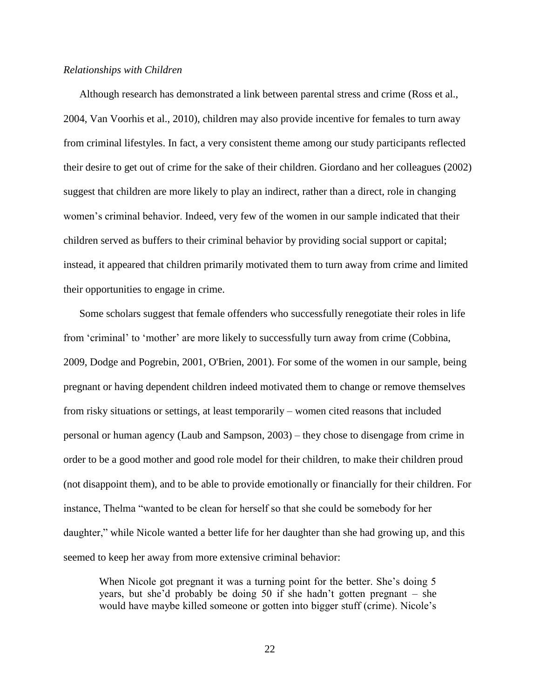#### *Relationships with Children*

Although research has demonstrated a link between parental stress and crime [\(Ross et al.,](#page-31-18)  [2004,](#page-31-18) [Van Voorhis et al., 2010\)](#page-32-0), children may also provide incentive for females to turn away from criminal lifestyles. In fact, a very consistent theme among our study participants reflected their desire to get out of crime for the sake of their children. Giordano and her colleagues [\(2002\)](#page-30-7) suggest that children are more likely to play an indirect, rather than a direct, role in changing women's criminal behavior. Indeed, very few of the women in our sample indicated that their children served as buffers to their criminal behavior by providing social support or capital; instead, it appeared that children primarily motivated them to turn away from crime and limited their opportunities to engage in crime.

Some scholars suggest that female offenders who successfully renegotiate their roles in life from 'criminal' to 'mother' are more likely to successfully turn away from crime [\(Cobbina,](#page-29-7)  [2009,](#page-29-7) [Dodge and Pogrebin, 2001,](#page-29-9) [O'Brien, 2001\)](#page-31-7). For some of the women in our sample, being pregnant or having dependent children indeed motivated them to change or remove themselves from risky situations or settings, at least temporarily – women cited reasons that included personal or human agency [\(Laub and Sampson, 2003\)](#page-30-10) – they chose to disengage from crime in order to be a good mother and good role model for their children, to make their children proud (not disappoint them), and to be able to provide emotionally or financially for their children. For instance, Thelma "wanted to be clean for herself so that she could be somebody for her daughter," while Nicole wanted a better life for her daughter than she had growing up, and this seemed to keep her away from more extensive criminal behavior:

When Nicole got pregnant it was a turning point for the better. She's doing 5 years, but she'd probably be doing 50 if she hadn't gotten pregnant – she would have maybe killed someone or gotten into bigger stuff (crime). Nicole's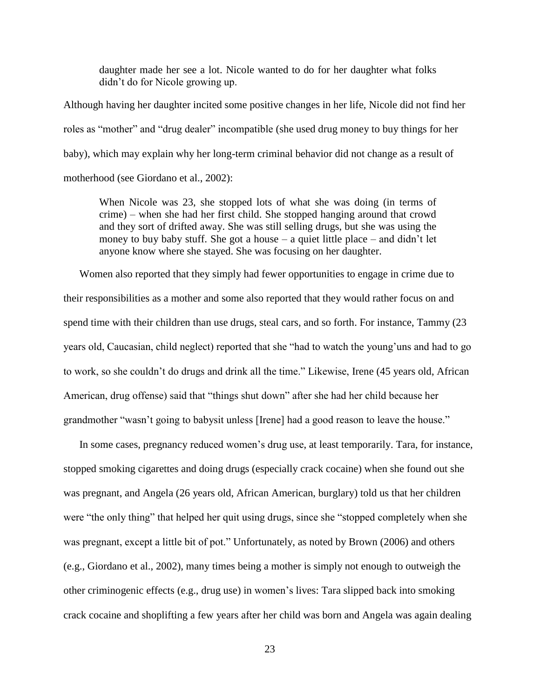daughter made her see a lot. Nicole wanted to do for her daughter what folks didn't do for Nicole growing up.

Although having her daughter incited some positive changes in her life, Nicole did not find her roles as "mother" and "drug dealer" incompatible (she used drug money to buy things for her baby), which may explain why her long-term criminal behavior did not change as a result of motherhood [\(see Giordano et al., 2002\)](#page-30-7):

When Nicole was 23, she stopped lots of what she was doing (in terms of crime) – when she had her first child. She stopped hanging around that crowd and they sort of drifted away. She was still selling drugs, but she was using the money to buy baby stuff. She got a house  $-$  a quiet little place  $-$  and didn't let anyone know where she stayed. She was focusing on her daughter.

Women also reported that they simply had fewer opportunities to engage in crime due to their responsibilities as a mother and some also reported that they would rather focus on and spend time with their children than use drugs, steal cars, and so forth. For instance, Tammy (23) years old, Caucasian, child neglect) reported that she "had to watch the young'uns and had to go to work, so she couldn't do drugs and drink all the time." Likewise, Irene (45 years old, African American, drug offense) said that "things shut down" after she had her child because her grandmother "wasn't going to babysit unless [Irene] had a good reason to leave the house."

In some cases, pregnancy reduced women's drug use, at least temporarily. Tara, for instance, stopped smoking cigarettes and doing drugs (especially crack cocaine) when she found out she was pregnant, and Angela (26 years old, African American, burglary) told us that her children were "the only thing" that helped her quit using drugs, since she "stopped completely when she was pregnant, except a little bit of pot." Unfortunately, as noted by Brown [\(2006\)](#page-29-4) and others [\(e.g., Giordano et al., 2002\)](#page-30-7), many times being a mother is simply not enough to outweigh the other criminogenic effects (e.g., drug use) in women's lives: Tara slipped back into smoking crack cocaine and shoplifting a few years after her child was born and Angela was again dealing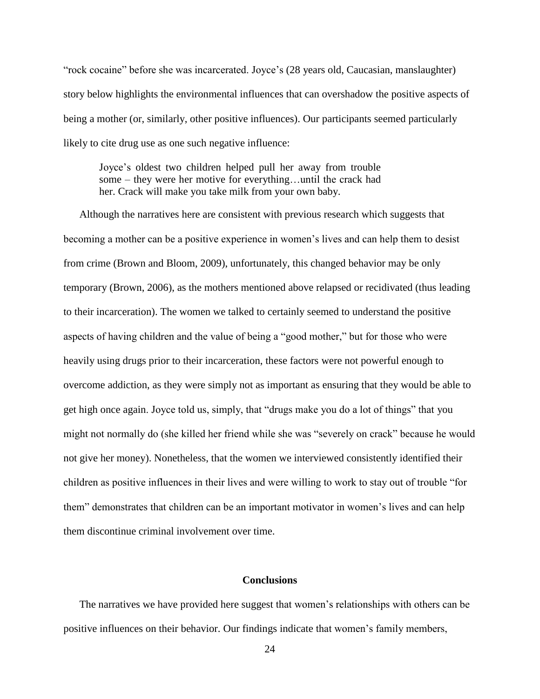"rock cocaine" before she was incarcerated. Joyce's (28 years old, Caucasian, manslaughter) story below highlights the environmental influences that can overshadow the positive aspects of being a mother (or, similarly, other positive influences). Our participants seemed particularly likely to cite drug use as one such negative influence:

Joyce's oldest two children helped pull her away from trouble some – they were her motive for everything…until the crack had her. Crack will make you take milk from your own baby.

Although the narratives here are consistent with previous research which suggests that becoming a mother can be a positive experience in women's lives and can help them to desist from crime [\(Brown and Bloom, 2009\)](#page-29-6), unfortunately, this changed behavior may be only temporary [\(Brown, 2006\)](#page-29-4), as the mothers mentioned above relapsed or recidivated (thus leading to their incarceration). The women we talked to certainly seemed to understand the positive aspects of having children and the value of being a "good mother," but for those who were heavily using drugs prior to their incarceration, these factors were not powerful enough to overcome addiction, as they were simply not as important as ensuring that they would be able to get high once again. Joyce told us, simply, that "drugs make you do a lot of things" that you might not normally do (she killed her friend while she was "severely on crack" because he would not give her money). Nonetheless, that the women we interviewed consistently identified their children as positive influences in their lives and were willing to work to stay out of trouble "for them" demonstrates that children can be an important motivator in women's lives and can help them discontinue criminal involvement over time.

#### **Conclusions**

The narratives we have provided here suggest that women's relationships with others can be positive influences on their behavior. Our findings indicate that women's family members,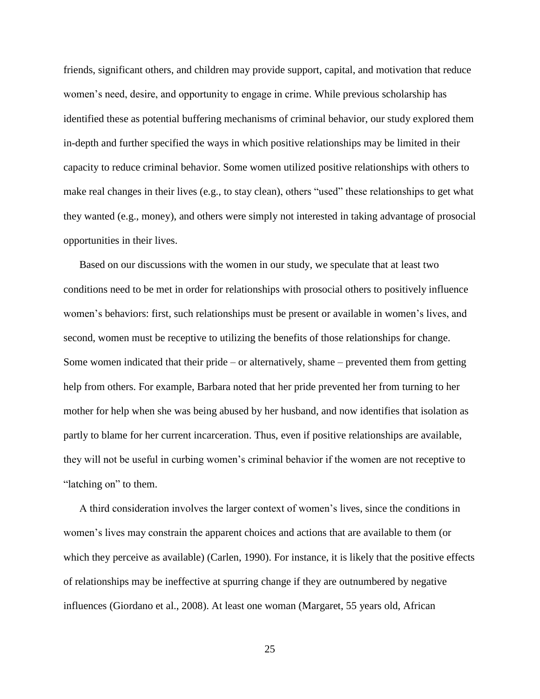friends, significant others, and children may provide support, capital, and motivation that reduce women's need, desire, and opportunity to engage in crime. While previous scholarship has identified these as potential buffering mechanisms of criminal behavior, our study explored them in-depth and further specified the ways in which positive relationships may be limited in their capacity to reduce criminal behavior. Some women utilized positive relationships with others to make real changes in their lives (e.g., to stay clean), others "used" these relationships to get what they wanted (e.g., money), and others were simply not interested in taking advantage of prosocial opportunities in their lives.

Based on our discussions with the women in our study, we speculate that at least two conditions need to be met in order for relationships with prosocial others to positively influence women's behaviors: first, such relationships must be present or available in women's lives, and second, women must be receptive to utilizing the benefits of those relationships for change. Some women indicated that their pride – or alternatively, shame – prevented them from getting help from others. For example, Barbara noted that her pride prevented her from turning to her mother for help when she was being abused by her husband, and now identifies that isolation as partly to blame for her current incarceration. Thus, even if positive relationships are available, they will not be useful in curbing women's criminal behavior if the women are not receptive to "latching on" to them.

A third consideration involves the larger context of women's lives, since the conditions in women's lives may constrain the apparent choices and actions that are available to them (or which they perceive as available) [\(Carlen, 1990\)](#page-29-15). For instance, it is likely that the positive effects of relationships may be ineffective at spurring change if they are outnumbered by negative influences [\(Giordano et al., 2008\)](#page-30-17). At least one woman (Margaret, 55 years old, African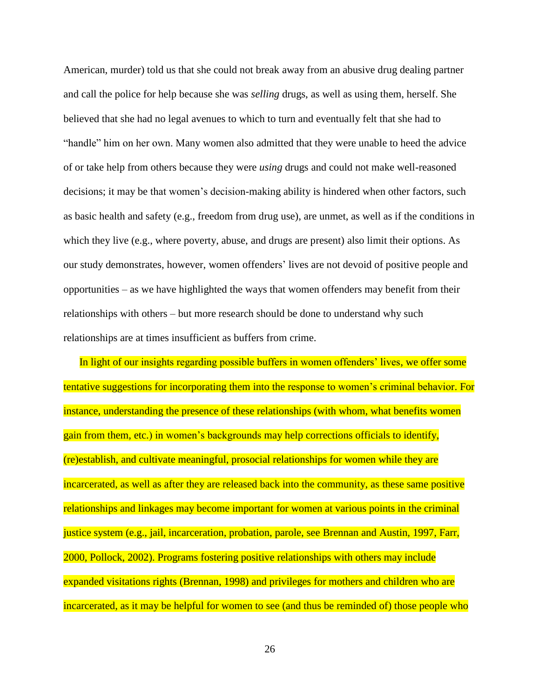American, murder) told us that she could not break away from an abusive drug dealing partner and call the police for help because she was *selling* drugs, as well as using them, herself. She believed that she had no legal avenues to which to turn and eventually felt that she had to "handle" him on her own. Many women also admitted that they were unable to heed the advice of or take help from others because they were *using* drugs and could not make well-reasoned decisions; it may be that women's decision-making ability is hindered when other factors, such as basic health and safety (e.g., freedom from drug use), are unmet, as well as if the conditions in which they live (e.g., where poverty, abuse, and drugs are present) also limit their options. As our study demonstrates, however, women offenders' lives are not devoid of positive people and opportunities – as we have highlighted the ways that women offenders may benefit from their relationships with others – but more research should be done to understand why such relationships are at times insufficient as buffers from crime.

In light of our insights regarding possible buffers in women offenders' lives, we offer some tentative suggestions for incorporating them into the response to women's criminal behavior. For instance, understanding the presence of these relationships (with whom, what benefits women gain from them, etc.) in women's backgrounds may help corrections officials to identify, (re)establish, and cultivate meaningful, prosocial relationships for women while they are incarcerated, as well as after they are released back into the community, as these same positive relationships and linkages may become important for women at various points in the criminal justice system (e.g., jail, incarceration, probation, parole, see [Brennan and Austin, 1997,](#page-29-16) [Farr,](#page-30-18)  [2000,](#page-30-18) [Pollock, 2002\)](#page-31-19). Programs fostering positive relationships with others may include expanded visitations rights [\(Brennan, 1998\)](#page-29-17) and privileges for mothers and children who are incarcerated, as it may be helpful for women to see (and thus be reminded of) those people who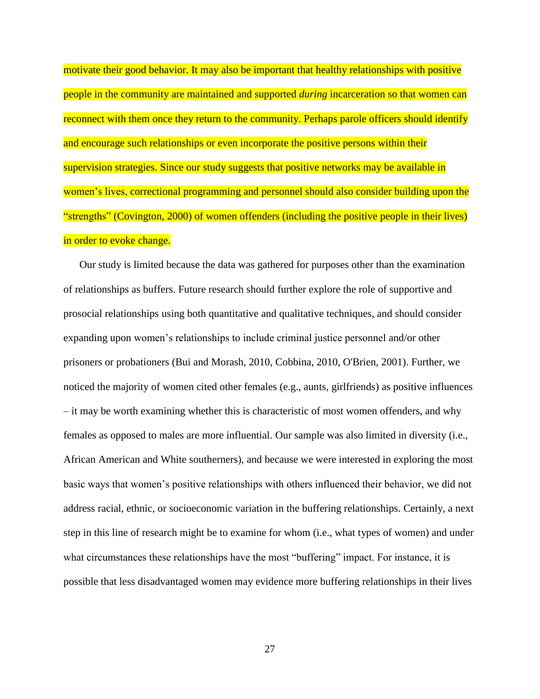motivate their good behavior. It may also be important that healthy relationships with positive people in the community are maintained and supported *during* incarceration so that women can reconnect with them once they return to the community. Perhaps parole officers should identify and encourage such relationships or even incorporate the positive persons within their supervision strategies. Since our study suggests that positive networks may be available in women's lives, correctional programming and personnel should also consider building upon the "strengths" [\(Covington, 2000\)](#page-29-11) of women offenders (including the positive people in their lives) in order to evoke change.

Our study is limited because the data was gathered for purposes other than the examination of relationships as buffers. Future research should further explore the role of supportive and prosocial relationships using both quantitative and qualitative techniques, and should consider expanding upon women's relationships to include criminal justice personnel and/or other prisoners or probationers [\(Bui and Morash, 2010,](#page-29-18) [Cobbina, 2010,](#page-29-8) [O'Brien, 2001\)](#page-31-7). Further, we noticed the majority of women cited other females (e.g., aunts, girlfriends) as positive influences – it may be worth examining whether this is characteristic of most women offenders, and why females as opposed to males are more influential. Our sample was also limited in diversity (i.e., African American and White southerners), and because we were interested in exploring the most basic ways that women's positive relationships with others influenced their behavior, we did not address racial, ethnic, or socioeconomic variation in the buffering relationships. Certainly, a next step in this line of research might be to examine for whom (i.e., what types of women) and under what circumstances these relationships have the most "buffering" impact. For instance, it is possible that less disadvantaged women may evidence more buffering relationships in their lives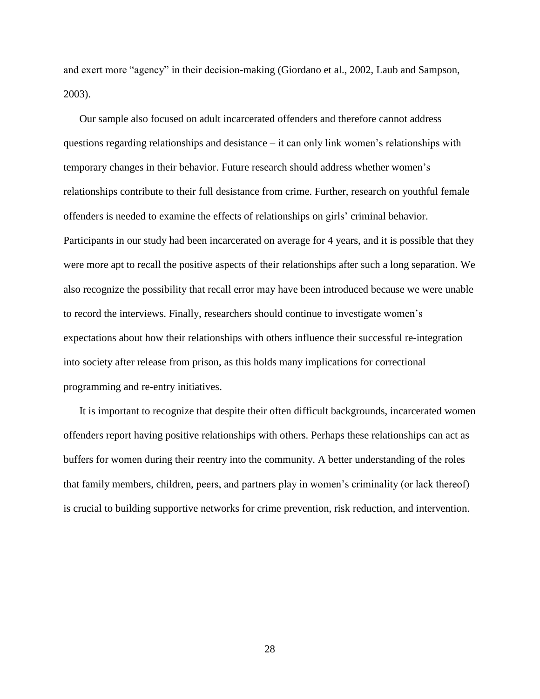and exert more "agency" in their decision-making [\(Giordano et al., 2002,](#page-30-7) [Laub and Sampson,](#page-30-10)  [2003\)](#page-30-10).

Our sample also focused on adult incarcerated offenders and therefore cannot address questions regarding relationships and desistance – it can only link women's relationships with temporary changes in their behavior. Future research should address whether women's relationships contribute to their full desistance from crime. Further, research on youthful female offenders is needed to examine the effects of relationships on girls' criminal behavior. Participants in our study had been incarcerated on average for 4 years, and it is possible that they were more apt to recall the positive aspects of their relationships after such a long separation. We also recognize the possibility that recall error may have been introduced because we were unable to record the interviews. Finally, researchers should continue to investigate women's expectations about how their relationships with others influence their successful re-integration into society after release from prison, as this holds many implications for correctional programming and re-entry initiatives.

It is important to recognize that despite their often difficult backgrounds, incarcerated women offenders report having positive relationships with others. Perhaps these relationships can act as buffers for women during their reentry into the community. A better understanding of the roles that family members, children, peers, and partners play in women's criminality (or lack thereof) is crucial to building supportive networks for crime prevention, risk reduction, and intervention.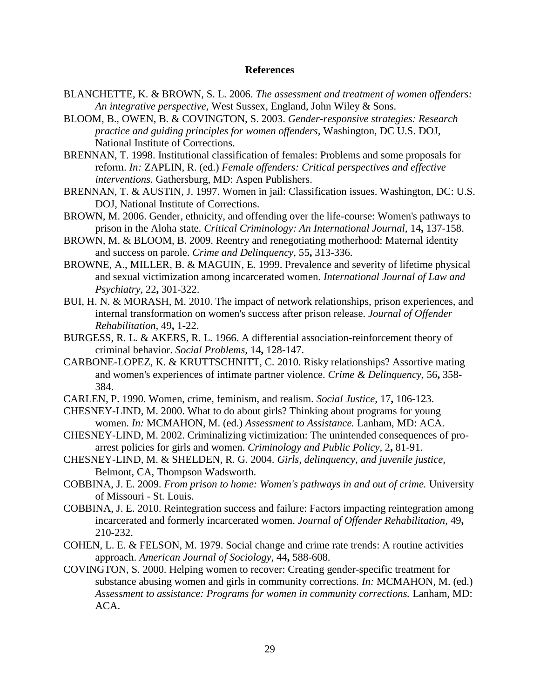#### **References**

- <span id="page-29-14"></span><span id="page-29-9"></span>BLANCHETTE, K. & BROWN, S. L. 2006. *The assessment and treatment of women offenders: An integrative perspective,* West Sussex, England, John Wiley & Sons.
- <span id="page-29-3"></span>BLOOM, B., OWEN, B. & COVINGTON, S. 2003. *Gender-responsive strategies: Research practice and guiding principles for women offenders,* Washington, DC U.S. DOJ, National Institute of Corrections.
- <span id="page-29-17"></span>BRENNAN, T. 1998. Institutional classification of females: Problems and some proposals for reform. *In:* ZAPLIN, R. (ed.) *Female offenders: Critical perspectives and effective interventions.* Gathersburg, MD: Aspen Publishers.
- <span id="page-29-16"></span>BRENNAN, T. & AUSTIN, J. 1997. Women in jail: Classification issues. Washington, DC: U.S. DOJ, National Institute of Corrections.
- <span id="page-29-4"></span>BROWN, M. 2006. Gender, ethnicity, and offending over the life-course: Women's pathways to prison in the Aloha state. *Critical Criminology: An International Journal,* 14**,** 137-158.
- <span id="page-29-6"></span>BROWN, M. & BLOOM, B. 2009. Reentry and renegotiating motherhood: Maternal identity and success on parole. *Crime and Delinquency,* 55**,** 313-336.
- <span id="page-29-10"></span>BROWNE, A., MILLER, B. & MAGUIN, E. 1999. Prevalence and severity of lifetime physical and sexual victimization among incarcerated women. *International Journal of Law and Psychiatry,* 22**,** 301-322.
- <span id="page-29-18"></span>BUI, H. N. & MORASH, M. 2010. The impact of network relationships, prison experiences, and internal transformation on women's success after prison release. *Journal of Offender Rehabilitation,* 49**,** 1-22.
- <span id="page-29-13"></span>BURGESS, R. L. & AKERS, R. L. 1966. A differential association-reinforcement theory of criminal behavior. *Social Problems,* 14**,** 128-147.
- <span id="page-29-5"></span>CARBONE-LOPEZ, K. & KRUTTSCHNITT, C. 2010. Risky relationships? Assortive mating and women's experiences of intimate partner violence. *Crime & Delinquency,* 56**,** 358- 384.
- <span id="page-29-15"></span>CARLEN, P. 1990. Women, crime, feminism, and realism. *Social Justice,* 17**,** 106-123.
- <span id="page-29-1"></span>CHESNEY-LIND, M. 2000. What to do about girls? Thinking about programs for young women. *In:* MCMAHON, M. (ed.) *Assessment to Assistance.* Lanham, MD: ACA.
- <span id="page-29-2"></span>CHESNEY-LIND, M. 2002. Criminalizing victimization: The unintended consequences of proarrest policies for girls and women. *Criminology and Public Policy,* 2**,** 81-91.
- <span id="page-29-0"></span>CHESNEY-LIND, M. & SHELDEN, R. G. 2004. *Girls, delinquency, and juvenile justice,*  Belmont, CA, Thompson Wadsworth.
- <span id="page-29-7"></span>COBBINA, J. E. 2009. *From prison to home: Women's pathways in and out of crime.* University of Missouri - St. Louis.
- <span id="page-29-8"></span>COBBINA, J. E. 2010. Reintegration success and failure: Factors impacting reintegration among incarcerated and formerly incarcerated women. *Journal of Offender Rehabilitation,* 49**,** 210-232.
- <span id="page-29-12"></span>COHEN, L. E. & FELSON, M. 1979. Social change and crime rate trends: A routine activities approach. *American Journal of Sociology,* 44**,** 588-608.
- <span id="page-29-11"></span>COVINGTON, S. 2000. Helping women to recover: Creating gender-specific treatment for substance abusing women and girls in community corrections. *In:* MCMAHON, M. (ed.) *Assessment to assistance: Programs for women in community corrections.* Lanham, MD: ACA.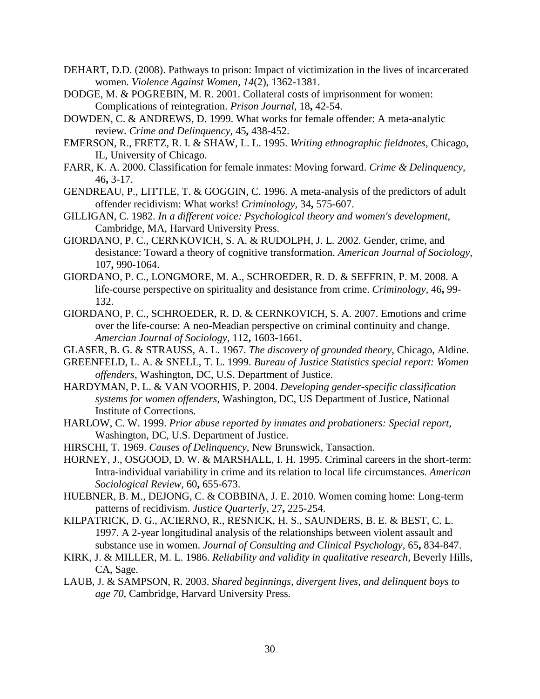- <span id="page-30-13"></span>DEHART, D.D. (2008). Pathways to prison: Impact of victimization in the lives of incarcerated women. *Violence Against Women, 14*(2), 1362-1381.
- DODGE, M. & POGREBIN, M. R. 2001. Collateral costs of imprisonment for women: Complications of reintegration. *Prison Journal,* 18**,** 42-54.
- <span id="page-30-4"></span>DOWDEN, C. & ANDREWS, D. 1999. What works for female offender: A meta-analytic review. *Crime and Delinquency,* 45**,** 438-452.
- <span id="page-30-14"></span>EMERSON, R., FRETZ, R. I. & SHAW, L. L. 1995. *Writing ethnographic fieldnotes,* Chicago, IL, University of Chicago.
- <span id="page-30-18"></span>FARR, K. A. 2000. Classification for female inmates: Moving forward. *Crime & Delinquency,* 46**,** 3-17.
- <span id="page-30-3"></span>GENDREAU, P., LITTLE, T. & GOGGIN, C. 1996. A meta-analysis of the predictors of adult offender recidivism: What works! *Criminology,* 34**,** 575-607.
- <span id="page-30-6"></span>GILLIGAN, C. 1982. *In a different voice: Psychological theory and women's development,*  Cambridge, MA, Harvard University Press.
- <span id="page-30-7"></span>GIORDANO, P. C., CERNKOVICH, S. A. & RUDOLPH, J. L. 2002. Gender, crime, and desistance: Toward a theory of cognitive transformation. *American Journal of Sociology,* 107**,** 990-1064.
- <span id="page-30-17"></span>GIORDANO, P. C., LONGMORE, M. A., SCHROEDER, R. D. & SEFFRIN, P. M. 2008. A life-course perspective on spirituality and desistance from crime. *Criminology,* 46**,** 99- 132.
- <span id="page-30-8"></span>GIORDANO, P. C., SCHROEDER, R. D. & CERNKOVICH, S. A. 2007. Emotions and crime over the life-course: A neo-Meadian perspective on criminal continuity and change. *Amercian Journal of Sociology,* 112**,** 1603-1661.
- <span id="page-30-16"></span>GLASER, B. G. & STRAUSS, A. L. 1967. *The discovery of grounded theory,* Chicago, Aldine.
- <span id="page-30-1"></span>GREENFELD, L. A. & SNELL, T. L. 1999. *Bureau of Justice Statistics special report: Women offenders,* Washington, DC, U.S. Department of Justice.
- <span id="page-30-5"></span>HARDYMAN, P. L. & VAN VOORHIS, P. 2004. *Developing gender-specific classification systems for women offenders,* Washington, DC, US Department of Justice, National Institute of Corrections.
- <span id="page-30-2"></span>HARLOW, C. W. 1999. *Prior abuse reported by inmates and probationers: Special report,*  Washington, DC, U.S. Department of Justice.
- <span id="page-30-9"></span>HIRSCHI, T. 1969. *Causes of Delinquency,* New Brunswick, Tansaction.
- <span id="page-30-12"></span>HORNEY, J., OSGOOD, D. W. & MARSHALL, I. H. 1995. Criminal careers in the short-term: Intra-individual variability in crime and its relation to local life circumstances. *American Sociological Review,* 60**,** 655-673.
- <span id="page-30-11"></span>HUEBNER, B. M., DEJONG, C. & COBBINA, J. E. 2010. Women coming home: Long-term patterns of recidivism. *Justice Quarterly,* 27**,** 225-254.
- <span id="page-30-0"></span>KILPATRICK, D. G., ACIERNO, R., RESNICK, H. S., SAUNDERS, B. E. & BEST, C. L. 1997. A 2-year longitudinal analysis of the relationships between violent assault and substance use in women. *Journal of Consulting and Clinical Psychology,* 65**,** 834-847.
- <span id="page-30-15"></span>KIRK, J. & MILLER, M. L. 1986. *Reliability and validity in qualitative research,* Beverly Hills, CA, Sage.
- <span id="page-30-10"></span>LAUB, J. & SAMPSON, R. 2003. *Shared beginnings, divergent lives, and delinquent boys to age 70,* Cambridge, Harvard University Press.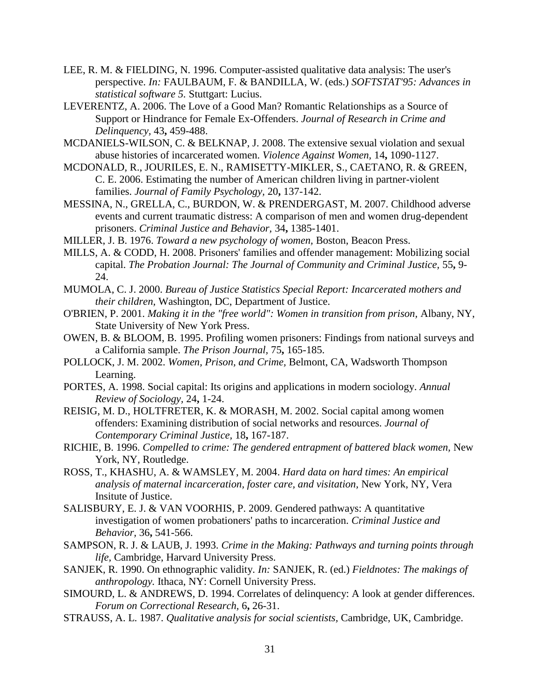- <span id="page-31-13"></span>LEE, R. M. & FIELDING, N. 1996. Computer-assisted qualitative data analysis: The user's perspective. *In:* FAULBAUM, F. & BANDILLA, W. (eds.) *SOFTSTAT'95: Advances in statistical software 5.* Stuttgart: Lucius.
- <span id="page-31-3"></span>LEVERENTZ, A. 2006. The Love of a Good Man? Romantic Relationships as a Source of Support or Hindrance for Female Ex-Offenders. *Journal of Research in Crime and Delinquency,* 43**,** 459-488.
- <span id="page-31-5"></span>MCDANIELS-WILSON, C. & BELKNAP, J. 2008. The extensive sexual violation and sexual abuse histories of incarcerated women. *Violence Against Women,* 14**,** 1090-1127.
- <span id="page-31-0"></span>MCDONALD, R., JOURILES, E. N., RAMISETTY-MIKLER, S., CAETANO, R. & GREEN, C. E. 2006. Estimating the number of American children living in partner-violent families. *Journal of Family Psychology,* 20**,** 137-142.
- <span id="page-31-12"></span>MESSINA, N., GRELLA, C., BURDON, W. & PRENDERGAST, M. 2007. Childhood adverse events and current traumatic distress: A comparison of men and women drug-dependent prisoners. *Criminal Justice and Behavior,* 34**,** 1385-1401.
- <span id="page-31-11"></span>MILLER, J. B. 1976. *Toward a new psychology of women,* Boston, Beacon Press.
- <span id="page-31-16"></span>MILLS, A. & CODD, H. 2008. Prisoners' families and offender management: Mobilizing social capital. *The Probation Journal: The Journal of Community and Criminal Justice,* 55**,** 9- 24.
- <span id="page-31-6"></span>MUMOLA, C. J. 2000. *Bureau of Justice Statistics Special Report: Incarcerated mothers and their children,* Washington, DC, Department of Justice.
- <span id="page-31-7"></span>O'BRIEN, P. 2001. *Making it in the "free world": Women in transition from prison,* Albany, NY, State University of New York Press.
- <span id="page-31-4"></span>OWEN, B. & BLOOM, B. 1995. Profiling women prisoners: Findings from national surveys and a California sample. *The Prison Journal,* 75**,** 165-185.
- <span id="page-31-19"></span>POLLOCK, J. M. 2002. *Women, Prison, and Crime,* Belmont, CA, Wadsworth Thompson Learning.
- <span id="page-31-8"></span>PORTES, A. 1998. Social capital: Its origins and applications in modern sociology. *Annual Review of Sociology,* 24**,** 1-24.
- <span id="page-31-9"></span>REISIG, M. D., HOLTFRETER, K. & MORASH, M. 2002. Social capital among women offenders: Examining distribution of social networks and resources. *Journal of Contemporary Criminal Justice,* 18**,** 167-187.
- <span id="page-31-1"></span>RICHIE, B. 1996. *Compelled to crime: The gendered entrapment of battered black women,* New York, NY, Routledge.
- <span id="page-31-18"></span>ROSS, T., KHASHU, A. & WAMSLEY, M. 2004. *Hard data on hard times: An empirical analysis of maternal incarceration, foster care, and visitation,* New York, NY, Vera Insitute of Justice.
- <span id="page-31-2"></span>SALISBURY, E. J. & VAN VOORHIS, P. 2009. Gendered pathways: A quantitative investigation of women probationers' paths to incarceration. *Criminal Justice and Behavior,* 36**,** 541-566.
- <span id="page-31-10"></span>SAMPSON, R. J. & LAUB, J. 1993. *Crime in the Making: Pathways and turning points through life,* Cambridge, Harvard University Press.
- <span id="page-31-15"></span>SANJEK, R. 1990. On ethnographic validity. *In:* SANJEK, R. (ed.) *Fieldnotes: The makings of anthropology.* Ithaca, NY: Cornell University Press.
- <span id="page-31-17"></span>SIMOURD, L. & ANDREWS, D. 1994. Correlates of delinquency: A look at gender differences. *Forum on Correctional Research,* 6**,** 26-31.
- <span id="page-31-14"></span>STRAUSS, A. L. 1987. *Qualitative analysis for social scientists,* Cambridge, UK, Cambridge.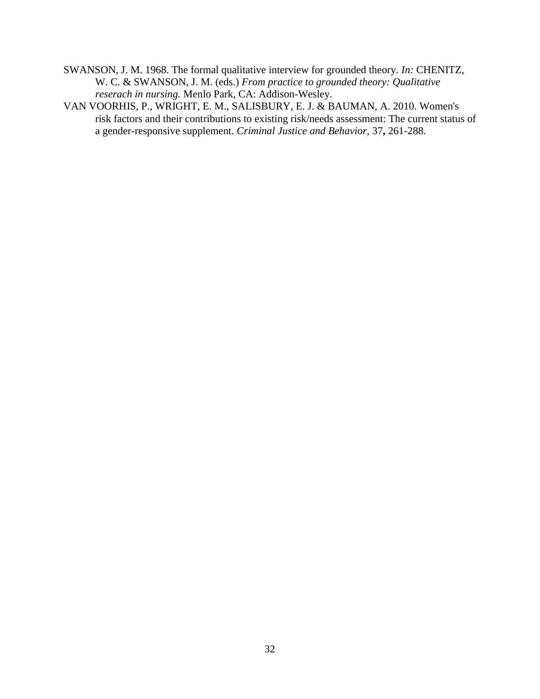- SWANSON, J. M. 1968. The formal qualitative interview for grounded theory. *In:* CHENITZ, W. C. & SWANSON, J. M. (eds.) *From practice to grounded theory: Qualitative reserach in nursing.* Menlo Park, CA: Addison-Wesley.
- <span id="page-32-0"></span>VAN VOORHIS, P., WRIGHT, E. M., SALISBURY, E. J. & BAUMAN, A. 2010. Women's risk factors and their contributions to existing risk/needs assessment: The current status of a gender-responsive supplement. *Criminal Justice and Behavior,* 37**,** 261-288.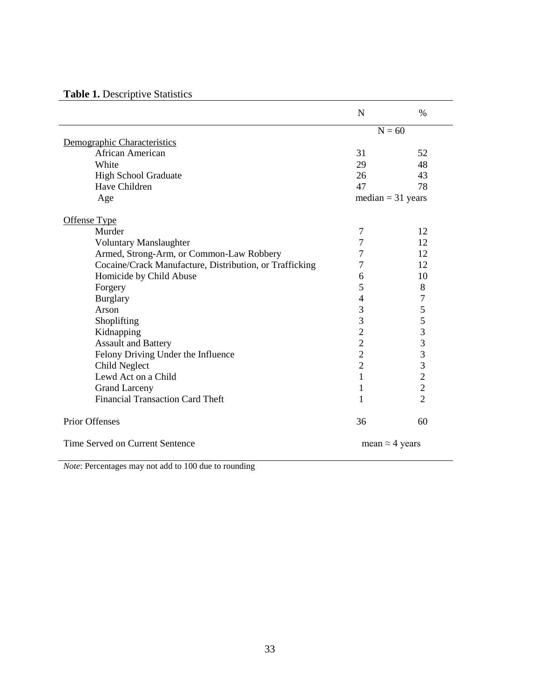### **Table 1.** Descriptive Statistics

|                                                         | $\mathbf N$            | $\%$                    |
|---------------------------------------------------------|------------------------|-------------------------|
|                                                         | $N = 60$               |                         |
| Demographic Characteristics                             |                        |                         |
| African American                                        | 31                     | 52                      |
| White                                                   | 29                     | 48                      |
| <b>High School Graduate</b>                             | 26                     | 43                      |
| Have Children                                           | 47                     | 78                      |
| Age                                                     | median $=$ 31 years    |                         |
| Offense Type                                            |                        |                         |
| Murder                                                  | 7                      | 12                      |
| <b>Voluntary Manslaughter</b>                           | 7                      | 12                      |
| Armed, Strong-Arm, or Common-Law Robbery                | 7                      | 12                      |
| Cocaine/Crack Manufacture, Distribution, or Trafficking | 7                      | 12                      |
| Homicide by Child Abuse                                 | 6                      | 10                      |
| Forgery                                                 | 5                      | 8                       |
| <b>Burglary</b>                                         | 4                      | 7                       |
| Arson                                                   | 3                      | 5                       |
| Shoplifting                                             | 3                      | 5                       |
| Kidnapping                                              | $\overline{2}$         | 3                       |
| <b>Assault and Battery</b>                              | $\overline{2}$         | 3                       |
| Felony Driving Under the Influence                      | $\overline{2}$         | $\overline{\mathbf{3}}$ |
| <b>Child Neglect</b>                                    | $\overline{2}$         | 3                       |
| Lewd Act on a Child                                     | 1                      | $\overline{c}$          |
| <b>Grand Larceny</b>                                    | 1                      | $\overline{2}$          |
| <b>Financial Transaction Card Theft</b>                 | 1                      | $\overline{2}$          |
| Prior Offenses                                          | 36                     | 60                      |
| Time Served on Current Sentence                         | mean $\approx$ 4 years |                         |

*Note*: Percentages may not add to 100 due to rounding